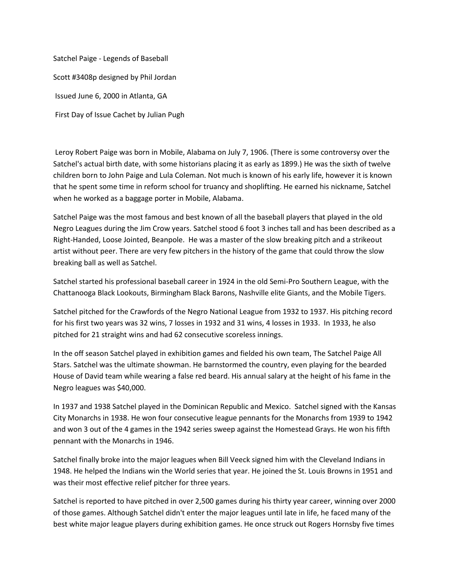Satchel Paige - Legends of Baseball Scott #3408p designed by Phil Jordan Issued June 6, 2000 in Atlanta, GA First Day of Issue Cachet by Julian Pugh

Leroy Robert Paige was born in Mobile, Alabama on July 7, 1906. (There is some controversy over the Satchel's actual birth date, with some historians placing it as early as 1899.) He was the sixth of twelve children born to John Paige and Lula Coleman. Not much is known of his early life, however it is known that he spent some time in reform school for truancy and shoplifting. He earned his nickname, Satchel when he worked as a baggage porter in Mobile, Alabama.

Satchel Paige was the most famous and best known of all the baseball players that played in the old Negro Leagues during the Jim Crow years. Satchel stood 6 foot 3 inches tall and has been described as a Right-Handed, Loose Jointed, Beanpole. He was a master of the slow breaking pitch and a strikeout artist without peer. There are very few pitchers in the history of the game that could throw the slow breaking ball as well as Satchel.

Satchel started his professional baseball career in 1924 in the old Semi-Pro Southern League, with the Chattanooga Black Lookouts, Birmingham Black Barons, Nashville elite Giants, and the Mobile Tigers.

Satchel pitched for the Crawfords of the Negro National League from 1932 to 1937. His pitching record for his first two years was 32 wins, 7 losses in 1932 and 31 wins, 4 losses in 1933. In 1933, he also pitched for 21 straight wins and had 62 consecutive scoreless innings.

In the off season Satchel played in exhibition games and fielded his own team, The Satchel Paige All Stars. Satchel was the ultimate showman. He barnstormed the country, even playing for the bearded House of David team while wearing a false red beard. His annual salary at the height of his fame in the Negro leagues was \$40,000.

In 1937 and 1938 Satchel played in the Dominican Republic and Mexico. Satchel signed with the Kansas City Monarchs in 1938. He won four consecutive league pennants for the Monarchs from 1939 to 1942 and won 3 out of the 4 games in the 1942 series sweep against the Homestead Grays. He won his fifth pennant with the Monarchs in 1946.

Satchel finally broke into the major leagues when Bill Veeck signed him with the Cleveland Indians in 1948. He helped the Indians win the World series that year. He joined the St. Louis Browns in 1951 and was their most effective relief pitcher for three years.

Satchel is reported to have pitched in over 2,500 games during his thirty year career, winning over 2000 of those games. Although Satchel didn't enter the major leagues until late in life, he faced many of the best white major league players during exhibition games. He once struck out Rogers Hornsby five times